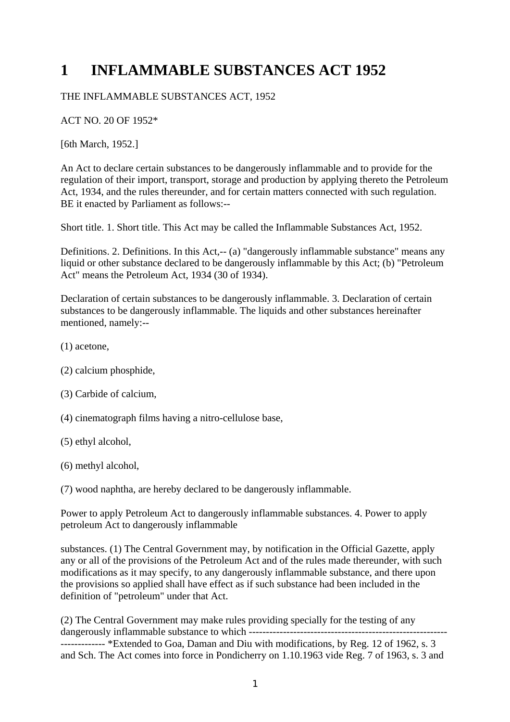## **1 INFLAMMABLE SUBSTANCES ACT 1952**

## THE INFLAMMABLE SUBSTANCES ACT, 1952

ACT NO. 20 OF 1952\*

[6th March, 1952.]

An Act to declare certain substances to be dangerously inflammable and to provide for the regulation of their import, transport, storage and production by applying thereto the Petroleum Act, 1934, and the rules thereunder, and for certain matters connected with such regulation. BE it enacted by Parliament as follows:--

Short title. 1. Short title. This Act may be called the Inflammable Substances Act, 1952.

Definitions. 2. Definitions. In this Act,-- (a) "dangerously inflammable substance" means any liquid or other substance declared to be dangerously inflammable by this Act; (b) "Petroleum Act" means the Petroleum Act, 1934 (30 of 1934).

Declaration of certain substances to be dangerously inflammable. 3. Declaration of certain substances to be dangerously inflammable. The liquids and other substances hereinafter mentioned, namely:--

- (1) acetone,
- (2) calcium phosphide,
- (3) Carbide of calcium,
- (4) cinematograph films having a nitro-cellulose base,
- (5) ethyl alcohol,
- (6) methyl alcohol,

(7) wood naphtha, are hereby declared to be dangerously inflammable.

Power to apply Petroleum Act to dangerously inflammable substances. 4. Power to apply petroleum Act to dangerously inflammable

substances. (1) The Central Government may, by notification in the Official Gazette, apply any or all of the provisions of the Petroleum Act and of the rules made thereunder, with such modifications as it may specify, to any dangerously inflammable substance, and there upon the provisions so applied shall have effect as if such substance had been included in the definition of "petroleum" under that Act.

(2) The Central Government may make rules providing specially for the testing of any dangerously inflammable substance to which ---------------------------------------------------------- ------------- \*Extended to Goa, Daman and Diu with modifications, by Reg. 12 of 1962, s. 3 and Sch. The Act comes into force in Pondicherry on 1.10.1963 vide Reg. 7 of 1963, s. 3 and